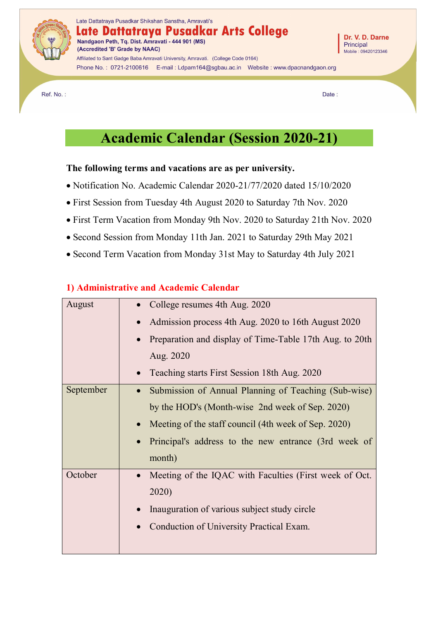

Phone No.: 0721-2100616 E-mail: Ldpam164@sgbau.ac.in Website: www.dpacnandgaon.org

Ref. No.:

Date:

# **Academic Calendar (Session 2020-21)**

#### **The following terms and vacations are as per university.**

- Notification No. Academic Calendar 2020-21/77/2020 dated 15/10/2020
- First Session from Tuesday 4th August 2020 to Saturday 7th Nov. 2020
- First Term Vacation from Monday 9th Nov. 2020 to Saturday 21th Nov. 2020
- Second Session from Monday 11th Jan. 2021 to Saturday 29th May 2021
- Second Term Vacation from Monday 31st May to Saturday 4th July 2021

## **1) Administrative and Academic Calendar**

| August    | College resumes 4th Aug. 2020                                        |
|-----------|----------------------------------------------------------------------|
|           | Admission process 4th Aug. 2020 to 16th August 2020<br>$\bullet$     |
|           | Preparation and display of Time-Table 17th Aug. to 20th<br>$\bullet$ |
|           | Aug. 2020                                                            |
|           | Teaching starts First Session 18th Aug. 2020<br>$\bullet$            |
| September | Submission of Annual Planning of Teaching (Sub-wise)<br>$\bullet$    |
|           | by the HOD's (Month-wise 2nd week of Sep. 2020)                      |
|           | Meeting of the staff council (4th week of Sep. 2020)                 |
|           | Principal's address to the new entrance (3rd week of                 |
|           | month)                                                               |
| October   | Meeting of the IQAC with Faculties (First week of Oct.<br>$\bullet$  |
|           | 2020)                                                                |
|           | Inauguration of various subject study circle<br>$\bullet$            |
|           | Conduction of University Practical Exam.                             |
|           |                                                                      |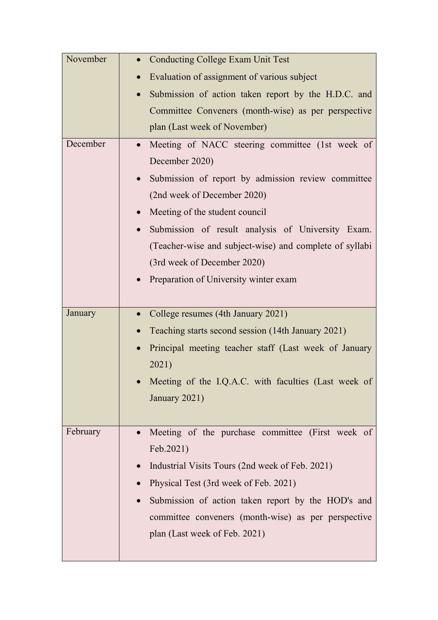| November | <b>Conducting College Exam Unit Test</b><br>$\bullet$            |
|----------|------------------------------------------------------------------|
|          | Evaluation of assignment of various subject<br>$\bullet$         |
|          | Submission of action taken report by the H.D.C. and<br>$\bullet$ |
|          | Committee Conveners (month-wise) as per perspective              |
|          | plan (Last week of November)                                     |
| December | Meeting of NACC steering committee (1st week of                  |
|          | December 2020)                                                   |
|          | Submission of report by admission review committee<br>$\bullet$  |
|          | (2nd week of December 2020)                                      |
|          | Meeting of the student council<br>$\bullet$                      |
|          | Submission of result analysis of University Exam.<br>$\bullet$   |
|          | (Teacher-wise and subject-wise) and complete of syllabi          |
|          | (3rd week of December 2020)                                      |
|          | Preparation of University winter exam                            |
|          |                                                                  |
| January  | College resumes (4th January 2021)<br>$\bullet$                  |
|          | Teaching starts second session (14th January 2021)               |
|          | Principal meeting teacher staff (Last week of January            |
|          | 2021)                                                            |
|          | Meeting of the I.Q.A.C. with faculties (Last week of             |
|          | January 2021)                                                    |
|          |                                                                  |
| February | Meeting of the purchase committee (First week of                 |
|          | Feb.2021)                                                        |
|          | Industrial Visits Tours (2nd week of Feb. 2021)<br>$\bullet$     |
|          | Physical Test (3rd week of Feb. 2021)                            |
|          | Submission of action taken report by the HOD's and<br>$\bullet$  |
|          |                                                                  |
|          | committee conveners (month-wise) as per perspective              |
|          | plan (Last week of Feb. 2021)                                    |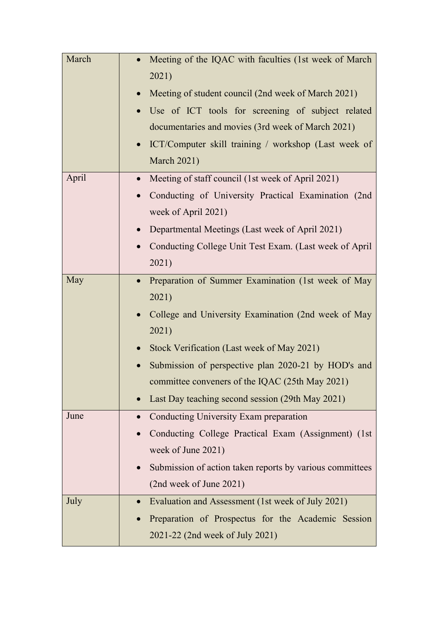| March | Meeting of the IQAC with faculties (1st week of March<br>2021)<br>Meeting of student council (2nd week of March 2021)<br>$\bullet$<br>Use of ICT tools for screening of subject related<br>$\bullet$<br>documentaries and movies (3rd week of March 2021)<br>ICT/Computer skill training / workshop (Last week of<br>$\bullet$<br><b>March 2021)</b>              |
|-------|-------------------------------------------------------------------------------------------------------------------------------------------------------------------------------------------------------------------------------------------------------------------------------------------------------------------------------------------------------------------|
| April | Meeting of staff council (1st week of April 2021)<br>$\bullet$<br>Conducting of University Practical Examination (2nd<br>$\bullet$<br>week of April 2021)<br>Departmental Meetings (Last week of April 2021)<br>$\bullet$<br>Conducting College Unit Test Exam. (Last week of April<br>2021)                                                                      |
| May   | Preparation of Summer Examination (1st week of May<br>$\bullet$<br>2021)<br>College and University Examination (2nd week of May<br>$\bullet$<br>2021)<br>Stock Verification (Last week of May 2021)<br>Submission of perspective plan 2020-21 by HOD's and<br>committee conveners of the IQAC (25th May 2021)<br>Last Day teaching second session (29th May 2021) |
| June  | Conducting University Exam preparation<br>$\bullet$<br>Conducting College Practical Exam (Assignment) (1st<br>week of June 2021)<br>Submission of action taken reports by various committees<br>(2nd week of June 2021)                                                                                                                                           |
| July  | Evaluation and Assessment (1st week of July 2021)<br>$\bullet$<br>Preparation of Prospectus for the Academic Session<br>2021-22 (2nd week of July 2021)                                                                                                                                                                                                           |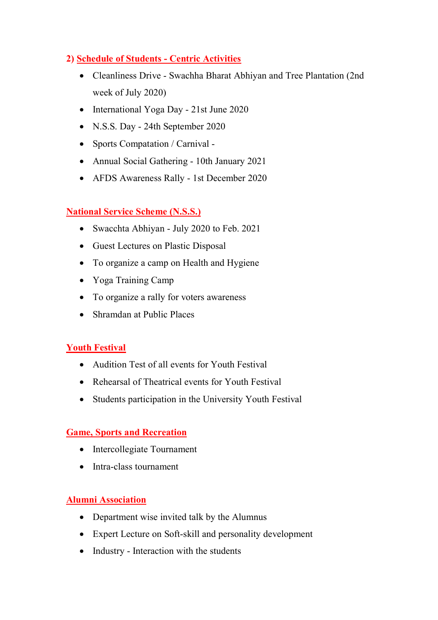## **2) Schedule of Students - Centric Activities**

- Cleanliness Drive Swachha Bharat Abhiyan and Tree Plantation (2nd week of July 2020)
- International Yoga Day 21st June 2020
- N.S.S. Day 24th September 2020
- Sports Compatation / Carnival -
- Annual Social Gathering 10th January 2021
- AFDS Awareness Rally 1st December 2020

## **National Service Scheme (N.S.S.)**

- Swacchta Abhiyan July 2020 to Feb. 2021
- Guest Lectures on Plastic Disposal
- To organize a camp on Health and Hygiene
- Yoga Training Camp
- To organize a rally for voters awareness
- Shramdan at Public Places

## **Youth Festival**

- Audition Test of all events for Youth Festival
- Rehearsal of Theatrical events for Youth Festival
- Students participation in the University Youth Festival

## **Game, Sports and Recreation**

- Intercollegiate Tournament
- Intra-class tournament

#### **Alumni Association**

- Department wise invited talk by the Alumnus
- Expert Lecture on Soft-skill and personality development
- Industry Interaction with the students